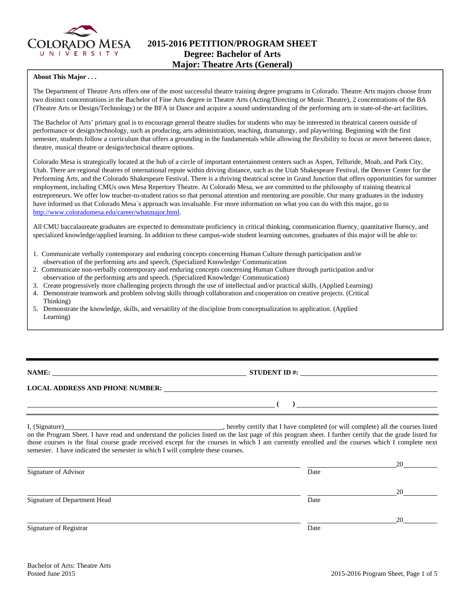

# **2015-2016 PETITION/PROGRAM SHEET Degree: Bachelor of Arts Major: Theatre Arts (General)**

#### **About This Major . . .**

The Department of Theatre Arts offers one of the most successful theatre training degree programs in Colorado. Theatre Arts majors choose from two distinct concentrations in the Bachelor of Fine Arts degree in Theatre Arts (Acting/Directing or Music Theatre), 2 concentrations of the BA (Theatre Arts or Design/Technology) or the BFA in Dance and acquire a sound understanding of the performing arts in state-of-the-art facilities.

The Bachelor of Arts' primary goal is to encourage general theatre studies for students who may be interested in theatrical careers outside of performance or design/technology, such as producing, arts administration, teaching, dramaturgy, and playwriting. Beginning with the first semester, students follow a curriculum that offers a grounding in the fundamentals while allowing the flexibility to focus or move between dance, theatre, musical theatre or design/technical theatre options.

Colorado Mesa is strategically located at the hub of a circle of important entertainment centers such as Aspen, Telluride, Moab, and Park City, Utah. There are regional theatres of international repute within driving distance, such as the Utah Shakespeare Festival, the Denver Center for the Performing Arts, and the Colorado Shakespeare Festival. There is a thriving theatrical scene in Grand Junction that offers opportunities for summer employment, including CMUs own Mesa Repertory Theatre. At Colorado Mesa, we are committed to the philosophy of training theatrical entrepreneurs. We offer low teacher-to-student ratios so that personal attention and mentoring are possible. Our many graduates in the industry have informed us that Colorado Mesa´s approach was invaluable. For more information on what you can do with this major, go to http://www.coloradomesa.edu/career/whatmajor.html.

All CMU baccalaureate graduates are expected to demonstrate proficiency in critical thinking, communication fluency, quantitative fluency, and specialized knowledge/applied learning. In addition to these campus-wide student learning outcomes, graduates of this major will be able to:

- 1. Communicate verbally contemporary and enduring concepts concerning Human Culture through participation and/or observation of the performing arts and speech. (Specialized Knowledge/ Communication
- 2. Communicate non-verbally contemporary and enduring concepts concerning Human Culture through participation and/or observation of the performing arts and speech. (Specialized Knowledge/ Communication)
- 3. Create progressively more challenging projects through the use of intellectual and/or practical skills. (Applied Learning)
- 4. Demonstrate teamwork and problem solving skills through collaboration and cooperation on creative projects. (Critical Thinking)
- 5. Demonstrate the knowledge, skills, and versatility of the discipline from conceptualization to application. (Applied Learning)

# **NAME: STUDENT ID #: STUDENT ID #: STUDENT ID #: STUDENT ID #: STUDENT ID #: STUDENT ID #: STUDENT ID #: STUDENT ID #: STUDENT ID #: STUDENT ID #: STUDENT ID #: STUDENT ID #: STUDENT ID #: STUDE**

 **( )** 

## **LOCAL ADDRESS AND PHONE NUMBER:**

I, (Signature) , hereby certify that I have completed (or will complete) all the courses listed on the Program Sheet. I have read and understand the policies listed on the last page of this program sheet. I further certify that the grade listed for those courses is the final course grade received except for the courses in which I am currently enrolled and the courses which I complete next semester. I have indicated the semester in which I will complete these courses.

|                              |      | 20 |
|------------------------------|------|----|
| Signature of Advisor         | Date |    |
|                              |      | 20 |
| Signature of Department Head | Date |    |
|                              |      | 20 |
| Signature of Registrar       | Date |    |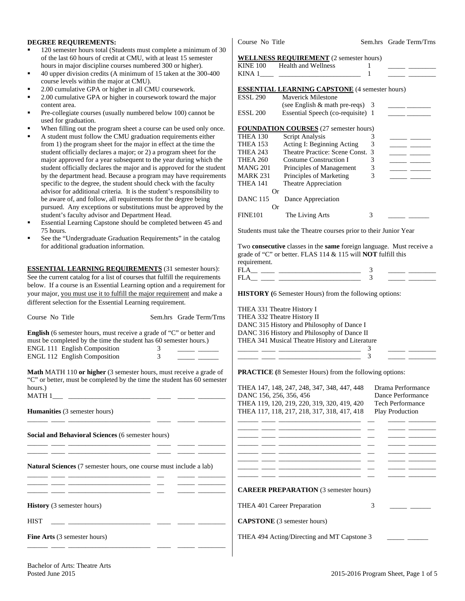#### **DEGREE REQUIREMENTS:**

- 120 semester hours total (Students must complete a minimum of 30 of the last 60 hours of credit at CMU, with at least 15 semester hours in major discipline courses numbered 300 or higher).
- 40 upper division credits (A minimum of 15 taken at the 300-400 course levels within the major at CMU).
- 2.00 cumulative GPA or higher in all CMU coursework.
- 2.00 cumulative GPA or higher in coursework toward the major content area.
- Pre-collegiate courses (usually numbered below 100) cannot be used for graduation.
- When filling out the program sheet a course can be used only on
- A student must follow the CMU graduation requirements either from 1) the program sheet for the major in effect at the time the student officially declares a major; or 2) a program sheet for the major approved for a year subsequent to the year during which the student officially declares the major and is approved for the student by the department head. Because a program may have requirements specific to the degree, the student should check with the faculty advisor for additional criteria. It is the student's responsibility to be aware of, and follow, all requirements for the degree being pursued. Any exceptions or substitutions must be approved by t student's faculty advisor and Department Head.
- Essential Learning Capstone should be completed between 45 and 75 hours.
- See the "Undergraduate Graduation Requirements" in the catalo for additional graduation information.

**ESSENTIAL LEARNING REQUIREMENTS** (31 semester hours): See the current catalog for a list of courses that fulfill the requirement below. If a course is an Essential Learning option and a requirement your major, you must use it to fulfill the major requirement and make different selection for the Essential Learning requirement.

| Course No Title                                                                                                                                                                                                                                 | Sem.hrs Grade Term/Trns                                                                                                                                                                                                              | THEA 332 Theatre History II                                                                                                                                                                                                                                                                                      |                                                                                             |  |  |
|-------------------------------------------------------------------------------------------------------------------------------------------------------------------------------------------------------------------------------------------------|--------------------------------------------------------------------------------------------------------------------------------------------------------------------------------------------------------------------------------------|------------------------------------------------------------------------------------------------------------------------------------------------------------------------------------------------------------------------------------------------------------------------------------------------------------------|---------------------------------------------------------------------------------------------|--|--|
| English (6 semester hours, must receive a grade of "C" or better and<br>must be completed by the time the student has 60 semester hours.)<br><b>ENGL 111 English Composition</b><br>ENGL 112 English Composition                                | $\mathbf{3}$<br>3                                                                                                                                                                                                                    | DANC 315 History and Philosophy of Dance I<br>DANC 316 History and Philosophy of Dance II<br>THEA 341 Musical Theatre History and Literature<br>$\frac{1}{1}$                                                                                                                                                    |                                                                                             |  |  |
| Math MATH 110 or higher (3 semester hours, must receive a grade of<br>"C" or better, must be completed by the time the student has 60 semester<br>hours.)<br><b>Humanities</b> (3 semester hours)                                               | <u> 1989 - John Harry Harry Harry Harry Harry Harry Harry Harry Harry Harry Harry Harry Harry Harry Harry Harry Harry Harry Harry Harry Harry Harry Harry Harry Harry Harry Harry Harry Harry Harry Harry Harry Harry Harry Harr</u> | <b>PRACTICE</b> (8 Semester Hours) from the following options:<br>THEA 147, 148, 247, 248, 347, 348, 447, 448<br>DANC 156, 256, 356, 456<br>THEA 119, 120, 219, 220, 319, 320, 419, 420<br>THEA 117, 118, 217, 218, 317, 318, 417, 418                                                                           | Drama Performance<br>Dance Performance<br><b>Tech Performance</b><br><b>Play Production</b> |  |  |
| Social and Behavioral Sciences (6 semester hours)                                                                                                                                                                                               | <u> 22 maret - Johann Barn, mars and de la componenta</u>                                                                                                                                                                            | <u>and the second control of the second control of the second control of the second control of the second control of the second control of the second control of the second control of the second control of the second control </u><br><u> 1999 - Jan James James, marshal ang pangalang ang pangalang pang</u> |                                                                                             |  |  |
| <b>Natural Sciences</b> (7 semester hours, one course must include a lab)<br><u> 1980 - Antonio Alemania, prima postala prestava de la provincia de la provincia de la provincia de la provincia</u>                                            |                                                                                                                                                                                                                                      | <u> 1999 - 1999 - Andrea Andrew Marian, president eta indonez (h. 1908).</u><br><u> 1999 - Johann Johann Stoff, deutscher Stoff und der Stoff und der Stoff und der Stoff und der Stoff und der S</u>                                                                                                            |                                                                                             |  |  |
| <u> 1999 - Jan Sterling and Sterling and Sterling and Sterling and Sterling and Sterling and Sterling and Sterling</u><br><u> 1988 - Johann Barbara, martin amerikan basar dan berasal dan berasal dalam basar dalam basar dalam basar dala</u> |                                                                                                                                                                                                                                      | <b>CAREER PREPARATION (3 semester hours)</b>                                                                                                                                                                                                                                                                     |                                                                                             |  |  |
| <b>History</b> (3 semester hours)                                                                                                                                                                                                               |                                                                                                                                                                                                                                      | THEA 401 Career Preparation                                                                                                                                                                                                                                                                                      | 3                                                                                           |  |  |
| <b>HIST</b><br><u> 1989 - Johann Harry Harry Harry Harry Harry Harry Harry Harry Harry Harry Harry Harry Harry Harry Harry Harry</u>                                                                                                            |                                                                                                                                                                                                                                      | <b>CAPSTONE</b> (3 semester hours)                                                                                                                                                                                                                                                                               |                                                                                             |  |  |
| <b>Fine Arts</b> (3 semester hours)                                                                                                                                                                                                             |                                                                                                                                                                                                                                      | THEA 494 Acting/Directing and MT Capstone 3                                                                                                                                                                                                                                                                      |                                                                                             |  |  |

Course No Title Sem.hrs Grade Term/Trns

#### **WELLNESS REQUIREMENT** (2 semester hours)

| <b>KINE 100</b> | <b>Health and Wellness</b>                                                                                                                                | 1                  |                                                                                            |
|-----------------|-----------------------------------------------------------------------------------------------------------------------------------------------------------|--------------------|--------------------------------------------------------------------------------------------|
| KINA 1          |                                                                                                                                                           | 1                  |                                                                                            |
|                 |                                                                                                                                                           |                    |                                                                                            |
|                 | <b>ESSENTIAL LEARNING CAPSTONE</b> (4 semester hours)                                                                                                     |                    |                                                                                            |
| <b>ESSL 290</b> | <b>Maverick Milestone</b>                                                                                                                                 |                    |                                                                                            |
|                 | (see English & math pre-reqs)                                                                                                                             | 3                  |                                                                                            |
| <b>ESSL 200</b> | Essential Speech (co-requisite) 1                                                                                                                         |                    |                                                                                            |
|                 | <b>FOUNDATION COURSES</b> (27 semester hours)                                                                                                             |                    |                                                                                            |
| THEA 130        | Script Analysis                                                                                                                                           | 3                  |                                                                                            |
| <b>THEA 153</b> | Acting I: Beginning Acting                                                                                                                                | 3                  |                                                                                            |
| THEA 243        | Theatre Practice: Scene Const.                                                                                                                            | 3                  | <u> Albanya (Albanya Albanya)</u><br>$\overline{\phantom{a}}$ and $\overline{\phantom{a}}$ |
| THEA 260        | <b>Costume Construction I</b>                                                                                                                             | 3                  |                                                                                            |
| <b>MANG 201</b> | Principles of Management                                                                                                                                  | 3                  |                                                                                            |
| <b>MARK 231</b> | Principles of Marketing                                                                                                                                   | 3                  |                                                                                            |
| THEA 141        | Theatre Appreciation                                                                                                                                      |                    |                                                                                            |
|                 | Or                                                                                                                                                        |                    |                                                                                            |
| <b>DANC 115</b> | Dance Appreciation                                                                                                                                        |                    |                                                                                            |
|                 | Or                                                                                                                                                        |                    |                                                                                            |
| <b>FINE101</b>  | The Living Arts                                                                                                                                           | 3                  |                                                                                            |
|                 |                                                                                                                                                           |                    |                                                                                            |
|                 | Students must take the Theatre courses prior to their Junior Year                                                                                         |                    |                                                                                            |
|                 |                                                                                                                                                           |                    |                                                                                            |
|                 | Two <b>consecutive</b> classes in the <b>same</b> foreign language. Must receive a<br>grade of "C" or better. FLAS 114 & 115 will <b>NOT</b> fulfill this |                    |                                                                                            |
|                 |                                                                                                                                                           |                    |                                                                                            |
| requirement.    |                                                                                                                                                           |                    |                                                                                            |
|                 |                                                                                                                                                           | 3<br>$\mathcal{F}$ |                                                                                            |
|                 |                                                                                                                                                           |                    |                                                                                            |
|                 | <b>HISTORY</b> (6 Semester Hours) from the following options:                                                                                             |                    |                                                                                            |
|                 | THEA 331 Theatre History I<br>THEA 332 Theatre History II                                                                                                 |                    |                                                                                            |
|                 | DANC 315 History and Philosophy of Dance I                                                                                                                |                    |                                                                                            |
|                 | DANC 316 History and Philosophy of Dance II                                                                                                               |                    |                                                                                            |
|                 | THEA 341 Musical Theatre History and Literature                                                                                                           |                    |                                                                                            |
|                 |                                                                                                                                                           | 3                  |                                                                                            |
|                 |                                                                                                                                                           | 3                  |                                                                                            |
|                 |                                                                                                                                                           |                    |                                                                                            |
|                 | <b>PRACTICE</b> (8 Semester Hours) from the following options:                                                                                            |                    |                                                                                            |
|                 | THEA 147, 148, 247, 248, 347, 348, 447, 448                                                                                                               |                    | Drama Performance                                                                          |
|                 | DANC 156, 256, 356, 456                                                                                                                                   |                    | Dance Performance                                                                          |
|                 | THEA 119, 120, 219, 220, 319, 320, 419, 420                                                                                                               |                    | Tech Performance                                                                           |
|                 | THEA 117, 118, 217, 218, 317, 318, 417, 418                                                                                                               |                    | Play Production                                                                            |
|                 |                                                                                                                                                           |                    |                                                                                            |
|                 |                                                                                                                                                           |                    |                                                                                            |
|                 |                                                                                                                                                           |                    |                                                                                            |
|                 |                                                                                                                                                           |                    |                                                                                            |
|                 |                                                                                                                                                           |                    |                                                                                            |
|                 | <u> 1988 - Jan James James, president eta industrial eta industrial eta industrial eta industrial eta industrial</u>                                      |                    | $\overline{\phantom{a}}$ $\overline{\phantom{a}}$                                          |
|                 |                                                                                                                                                           |                    |                                                                                            |
|                 |                                                                                                                                                           |                    | $\frac{1}{2}$                                                                              |
|                 |                                                                                                                                                           |                    |                                                                                            |
|                 | <b>CAREER PREPARATION</b> (3 semester hours)                                                                                                              |                    |                                                                                            |
|                 | THEA 401 Career Preparation                                                                                                                               | 3                  |                                                                                            |
|                 |                                                                                                                                                           |                    |                                                                                            |
|                 | <b>CAPSTONE</b> (3 semester hours)                                                                                                                        |                    |                                                                                            |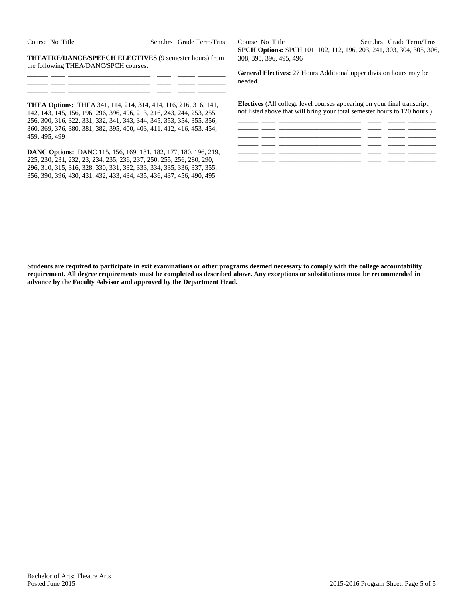| Course No Title | Sem.hrs Grade Term/Trns |
|-----------------|-------------------------|
|                 |                         |

**THEATRE/DANCE/SPEECH ELECTIVES** (9 semester hours) from the following THEA/DANC/SPCH courses:

| ______  |  |  |  |
|---------|--|--|--|
| _______ |  |  |  |
| _______ |  |  |  |

**THEA Options:** THEA 341, 114, 214, 314, 414, 116, 216, 316, 141, 142, 143, 145, 156, 196, 296, 396, 496, 213, 216, 243, 244, 253, 255, 256, 300, 316, 322, 331, 332, 341, 343, 344, 345, 353, 354, 355, 356, 360, 369, 376, 380, 381, 382, 395, 400, 403, 411, 412, 416, 453, 454, 459, 495, 499

**DANC Options:** DANC 115, 156, 169, 181, 182, 177, 180, 196, 219, 225, 230, 231, 232, 23, 234, 235, 236, 237, 250, 255, 256, 280, 290, 296, 310, 315, 316, 328, 330, 331, 332, 333, 334, 335, 336, 337, 355, 356, 390, 396, 430, 431, 432, 433, 434, 435, 436, 437, 456, 490, 495

Course No Title Sem.hrs Grade Term/Trns **SPCH Options:** SPCH 101, 102, 112, 196, 203, 241, 303, 304, 305, 306, 308, 395, 396, 495, 496

**General Electives:** 27 Hours Additional upper division hours may be needed

**Electives** (All college level courses appearing on your final transcript, not listed above that will bring your total semester hours to 120 hours.)



**Students are required to participate in exit examinations or other programs deemed necessary to comply with the college accountability requirement. All degree requirements must be completed as described above. Any exceptions or substitutions must be recommended in advance by the Faculty Advisor and approved by the Department Head.**